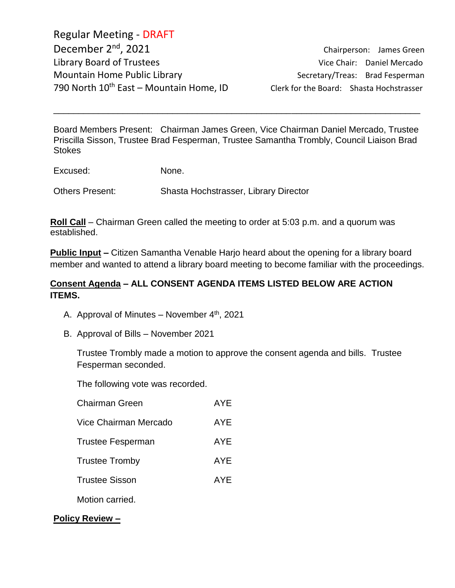Regular Meeting - DRAFT December 2<sup>nd</sup>, 2021 Library Board of Trustees and Communications of Chair: Daniel Mercado Mountain Home Public Library Secretary/Treas: Brad Fesperman 790 North  $10^{th}$  East – Mountain Home, ID Clerk for the Board: Shasta Hochstrasser

Chairperson: James Green

Board Members Present: Chairman James Green, Vice Chairman Daniel Mercado, Trustee Priscilla Sisson, Trustee Brad Fesperman, Trustee Samantha Trombly, Council Liaison Brad **Stokes** 

\_\_\_\_\_\_\_\_\_\_\_\_\_\_\_\_\_\_\_\_\_\_\_\_\_\_\_\_\_\_\_\_\_\_\_\_\_\_\_\_\_\_\_\_\_\_\_\_\_\_\_\_\_\_\_\_\_\_\_\_\_\_\_\_\_\_\_\_\_\_\_\_\_\_

Excused: None.

Others Present: Shasta Hochstrasser, Library Director

**Roll Call** – Chairman Green called the meeting to order at 5:03 p.m. and a quorum was established.

**Public Input –** Citizen Samantha Venable Harjo heard about the opening for a library board member and wanted to attend a library board meeting to become familiar with the proceedings.

### **Consent Agenda – ALL CONSENT AGENDA ITEMS LISTED BELOW ARE ACTION ITEMS.**

- A. Approval of Minutes November  $4<sup>th</sup>$ , 2021
- B. Approval of Bills November 2021

Trustee Trombly made a motion to approve the consent agenda and bills. Trustee Fesperman seconded.

The following vote was recorded.

| <b>Chairman Green</b>    | AYE.       |
|--------------------------|------------|
| Vice Chairman Mercado    | AYE        |
| <b>Trustee Fesperman</b> | AYE.       |
| <b>Trustee Tromby</b>    | <b>AYE</b> |
| <b>Trustee Sisson</b>    | <b>AYE</b> |
| Motion carried.          |            |

**Policy Review –**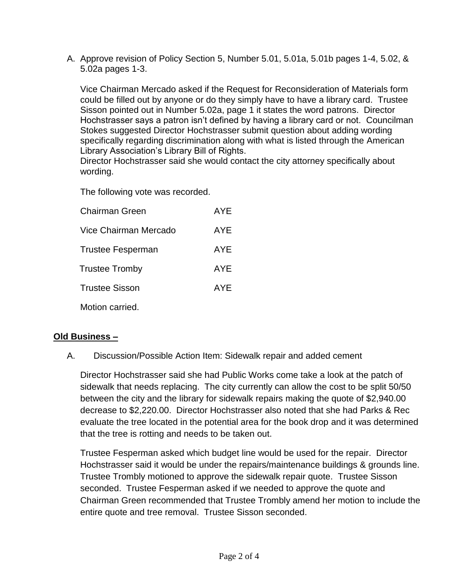A. Approve revision of Policy Section 5, Number 5.01, 5.01a, 5.01b pages 1-4, 5.02, & 5.02a pages 1-3.

Vice Chairman Mercado asked if the Request for Reconsideration of Materials form could be filled out by anyone or do they simply have to have a library card. Trustee Sisson pointed out in Number 5.02a, page 1 it states the word patrons. Director Hochstrasser says a patron isn't defined by having a library card or not. Councilman Stokes suggested Director Hochstrasser submit question about adding wording specifically regarding discrimination along with what is listed through the American Library Association's Library Bill of Rights.

Director Hochstrasser said she would contact the city attorney specifically about wording.

The following vote was recorded.

| <b>Chairman Green</b>    | <b>AYE</b> |
|--------------------------|------------|
| Vice Chairman Mercado    | AYE        |
| <b>Trustee Fesperman</b> | AYE        |
| <b>Trustee Tromby</b>    | AYE        |
| <b>Trustee Sisson</b>    | <b>AYE</b> |
| Motion carried.          |            |

### **Old Business –**

A. Discussion/Possible Action Item: Sidewalk repair and added cement

Director Hochstrasser said she had Public Works come take a look at the patch of sidewalk that needs replacing. The city currently can allow the cost to be split 50/50 between the city and the library for sidewalk repairs making the quote of \$2,940.00 decrease to \$2,220.00. Director Hochstrasser also noted that she had Parks & Rec evaluate the tree located in the potential area for the book drop and it was determined that the tree is rotting and needs to be taken out.

Trustee Fesperman asked which budget line would be used for the repair. Director Hochstrasser said it would be under the repairs/maintenance buildings & grounds line. Trustee Trombly motioned to approve the sidewalk repair quote. Trustee Sisson seconded. Trustee Fesperman asked if we needed to approve the quote and Chairman Green recommended that Trustee Trombly amend her motion to include the entire quote and tree removal. Trustee Sisson seconded.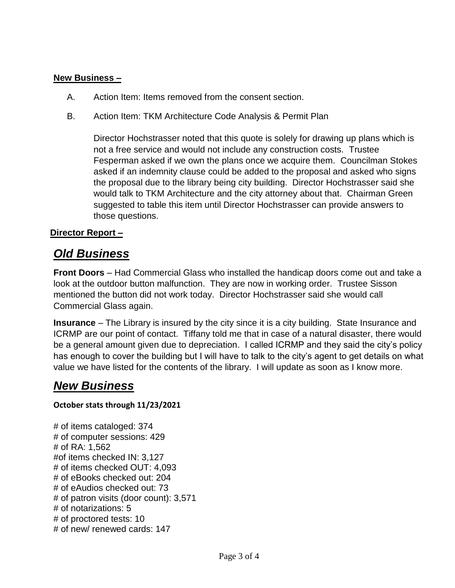#### **New Business –**

- A. Action Item: Items removed from the consent section.
- B. Action Item: TKM Architecture Code Analysis & Permit Plan

Director Hochstrasser noted that this quote is solely for drawing up plans which is not a free service and would not include any construction costs. Trustee Fesperman asked if we own the plans once we acquire them. Councilman Stokes asked if an indemnity clause could be added to the proposal and asked who signs the proposal due to the library being city building. Director Hochstrasser said she would talk to TKM Architecture and the city attorney about that. Chairman Green suggested to table this item until Director Hochstrasser can provide answers to those questions.

### **Director Report –**

# *Old Business*

**Front Doors** – Had Commercial Glass who installed the handicap doors come out and take a look at the outdoor button malfunction. They are now in working order. Trustee Sisson mentioned the button did not work today. Director Hochstrasser said she would call Commercial Glass again.

**Insurance** – The Library is insured by the city since it is a city building. State Insurance and ICRMP are our point of contact. Tiffany told me that in case of a natural disaster, there would be a general amount given due to depreciation. I called ICRMP and they said the city's policy has enough to cover the building but I will have to talk to the city's agent to get details on what value we have listed for the contents of the library. I will update as soon as I know more.

## *New Business*

#### **October stats through 11/23/2021**

# of items cataloged: 374 # of computer sessions: 429 # of RA: 1,562 #of items checked IN: 3,127 # of items checked OUT: 4,093 # of eBooks checked out: 204 # of eAudios checked out: 73 # of patron visits (door count): 3,571 # of notarizations: 5 # of proctored tests: 10 # of new/ renewed cards: 147